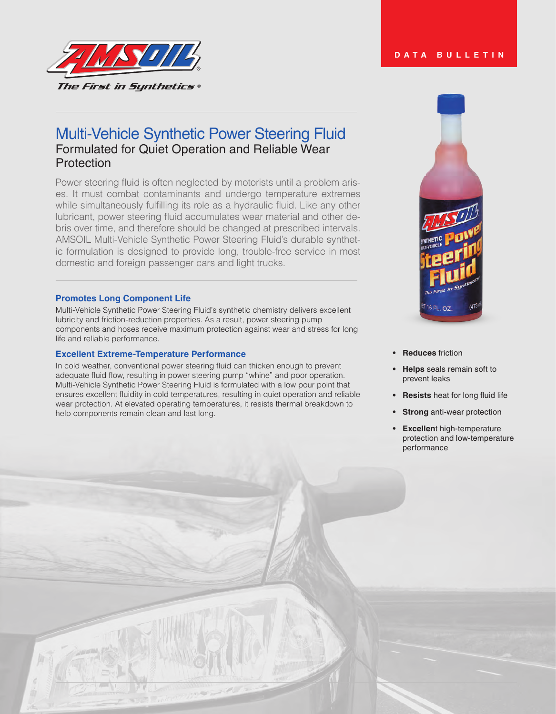

# Multi-Vehicle Synthetic Power Steering Fluid Formulated for Quiet Operation and Reliable Wear Protection

Power steering fluid is often neglected by motorists until a problem arises. It must combat contaminants and undergo temperature extremes while simultaneously fulfilling its role as a hydraulic fluid. Like any other lubricant, power steering fluid accumulates wear material and other debris over time, and therefore should be changed at prescribed intervals. AMSOIL Multi-Vehicle Synthetic Power Steering Fluid's durable synthetic formulation is designed to provide long, trouble-free service in most domestic and foreign passenger cars and light trucks.

#### **Promotes Long Component Life**

Multi-Vehicle Synthetic Power Steering Fluid's synthetic chemistry delivers excellent lubricity and friction-reduction properties. As a result, power steering pump components and hoses receive maximum protection against wear and stress for long life and reliable performance.

### **Excellent Extreme-Temperature Performance**

In cold weather, conventional power steering fluid can thicken enough to prevent adequate fluid flow, resulting in power steering pump "whine" and poor operation. Multi-Vehicle Synthetic Power Steering Fluid is formulated with a low pour point that ensures excellent fluidity in cold temperatures, resulting in quiet operation and reliable wear protection. At elevated operating temperatures, it resists thermal breakdown to help components remain clean and last long.



- **• Reduces** friction
- **• Helps** seals remain soft to prevent leaks
- **• Resists** heat for long fluid life
- **• Strong** anti-wear protection
- **• Excellen**t high-temperature protection and low-temperature performance

#### **DATA BULLETIN**